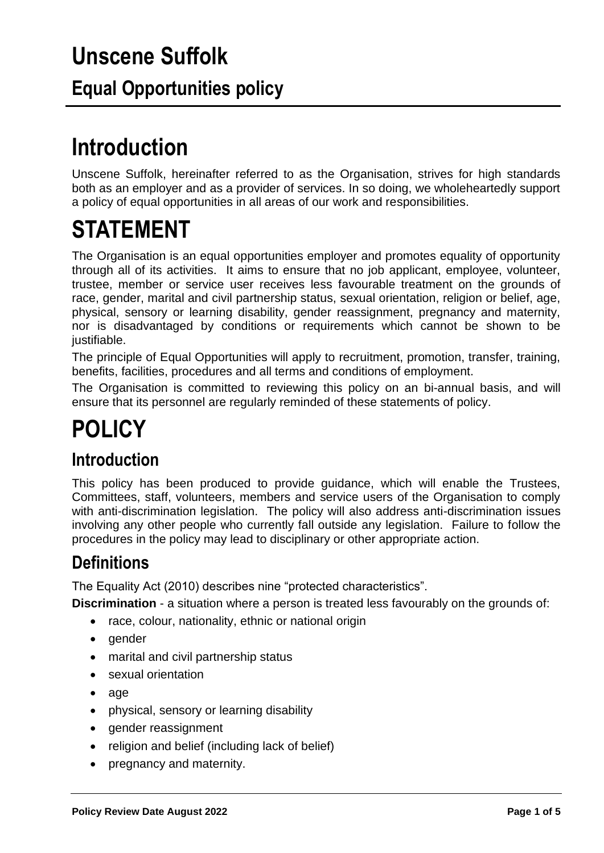## **Introduction**

Unscene Suffolk, hereinafter referred to as the Organisation, strives for high standards both as an employer and as a provider of services. In so doing, we wholeheartedly support a policy of equal opportunities in all areas of our work and responsibilities.

## **STATEMENT**

The Organisation is an equal opportunities employer and promotes equality of opportunity through all of its activities. It aims to ensure that no job applicant, employee, volunteer, trustee, member or service user receives less favourable treatment on the grounds of race, gender, marital and civil partnership status, sexual orientation, religion or belief, age, physical, sensory or learning disability, gender reassignment, pregnancy and maternity, nor is disadvantaged by conditions or requirements which cannot be shown to be justifiable.

The principle of Equal Opportunities will apply to recruitment, promotion, transfer, training, benefits, facilities, procedures and all terms and conditions of employment.

The Organisation is committed to reviewing this policy on an bi-annual basis, and will ensure that its personnel are regularly reminded of these statements of policy.

# **POLICY**

### **Introduction**

This policy has been produced to provide guidance, which will enable the Trustees, Committees, staff, volunteers, members and service users of the Organisation to comply with anti-discrimination legislation. The policy will also address anti-discrimination issues involving any other people who currently fall outside any legislation. Failure to follow the procedures in the policy may lead to disciplinary or other appropriate action.

## **Definitions**

The Equality Act (2010) describes nine "protected characteristics".

**Discrimination** - a situation where a person is treated less favourably on the grounds of:

- race, colour, nationality, ethnic or national origin
- gender
- marital and civil partnership status
- sexual orientation
- age
- physical, sensory or learning disability
- gender reassignment
- religion and belief (including lack of belief)
- pregnancy and maternity.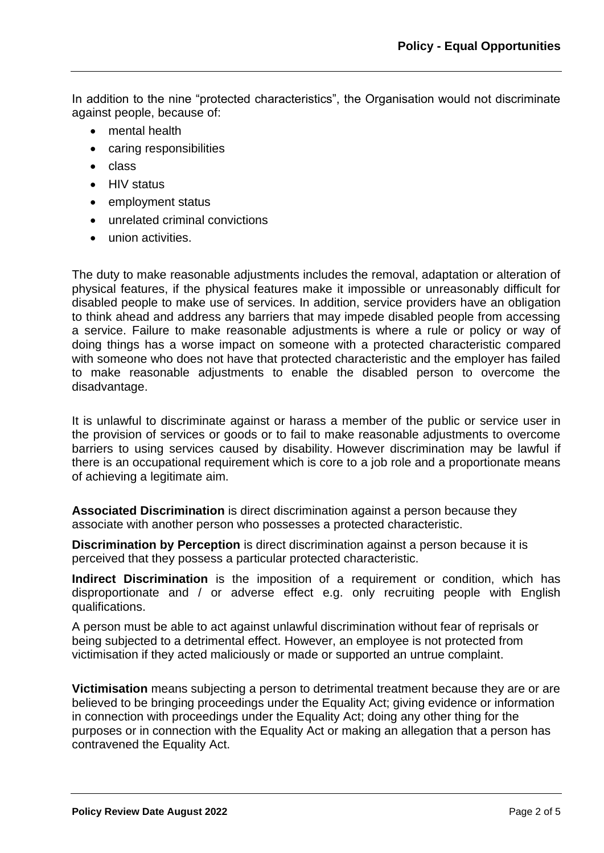In addition to the nine "protected characteristics", the Organisation would not discriminate against people, because of:

- mental health
- caring responsibilities
- class
- HIV status
- employment status
- unrelated criminal convictions
- union activities.

The duty to make reasonable adjustments includes the removal, adaptation or alteration of physical features, if the physical features make it impossible or unreasonably difficult for disabled people to make use of services. In addition, service providers have an obligation to think ahead and address any barriers that may impede disabled people from accessing a service. Failure to make reasonable adjustments is where a rule or policy or way of doing things has a worse impact on someone with a protected characteristic compared with someone who does not have that protected characteristic and the employer has failed to make reasonable adjustments to enable the disabled person to overcome the disadvantage.

It is unlawful to discriminate against or harass a member of the public or service user in the provision of services or goods or to fail to make reasonable adjustments to overcome barriers to using services caused by disability. However discrimination may be lawful if there is an occupational requirement which is core to a job role and a proportionate means of achieving a legitimate aim.

**Associated Discrimination** is direct discrimination against a person because they associate with another person who possesses a protected characteristic.

**Discrimination by Perception** is direct discrimination against a person because it is perceived that they possess a particular protected characteristic.

**Indirect Discrimination** is the imposition of a requirement or condition, which has disproportionate and / or adverse effect e.g. only recruiting people with English qualifications.

A person must be able to act against unlawful discrimination without fear of reprisals or being subjected to a detrimental effect. However, an employee is not protected from victimisation if they acted maliciously or made or supported an untrue complaint.

**Victimisation** means subjecting a person to detrimental treatment because they are or are believed to be bringing proceedings under the Equality Act; giving evidence or information in connection with proceedings under the Equality Act; doing any other thing for the purposes or in connection with the Equality Act or making an allegation that a person has contravened the Equality Act.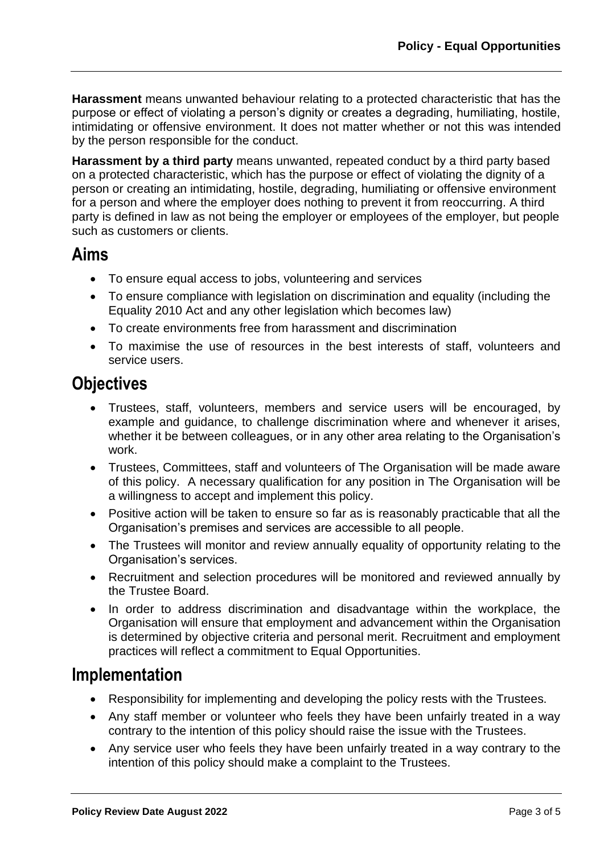**Harassment** means unwanted behaviour relating to a protected characteristic that has the purpose or effect of violating a person's dignity or creates a degrading, humiliating, hostile, intimidating or offensive environment. It does not matter whether or not this was intended by the person responsible for the conduct.

**Harassment by a third party** means unwanted, repeated conduct by a third party based on a protected characteristic, which has the purpose or effect of violating the dignity of a person or creating an intimidating, hostile, degrading, humiliating or offensive environment for a person and where the employer does nothing to prevent it from reoccurring. A third party is defined in law as not being the employer or employees of the employer, but people such as customers or clients.

#### **Aims**

- To ensure equal access to jobs, volunteering and services
- To ensure compliance with legislation on discrimination and equality (including the Equality 2010 Act and any other legislation which becomes law)
- To create environments free from harassment and discrimination
- To maximise the use of resources in the best interests of staff, volunteers and service users.

#### **Objectives**

- Trustees, staff, volunteers, members and service users will be encouraged, by example and guidance, to challenge discrimination where and whenever it arises, whether it be between colleagues, or in any other area relating to the Organisation's work.
- Trustees, Committees, staff and volunteers of The Organisation will be made aware of this policy. A necessary qualification for any position in The Organisation will be a willingness to accept and implement this policy.
- Positive action will be taken to ensure so far as is reasonably practicable that all the Organisation's premises and services are accessible to all people.
- The Trustees will monitor and review annually equality of opportunity relating to the Organisation's services.
- Recruitment and selection procedures will be monitored and reviewed annually by the Trustee Board.
- In order to address discrimination and disadvantage within the workplace, the Organisation will ensure that employment and advancement within the Organisation is determined by objective criteria and personal merit. Recruitment and employment practices will reflect a commitment to Equal Opportunities.

#### **Implementation**

- Responsibility for implementing and developing the policy rests with the Trustees.
- Any staff member or volunteer who feels they have been unfairly treated in a way contrary to the intention of this policy should raise the issue with the Trustees.
- Any service user who feels they have been unfairly treated in a way contrary to the intention of this policy should make a complaint to the Trustees.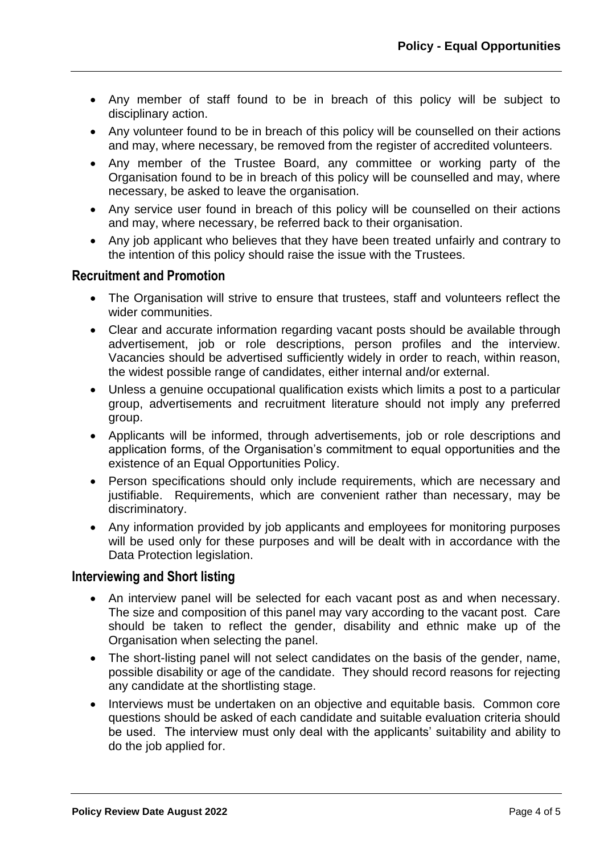- Any member of staff found to be in breach of this policy will be subject to disciplinary action.
- Any volunteer found to be in breach of this policy will be counselled on their actions and may, where necessary, be removed from the register of accredited volunteers.
- Any member of the Trustee Board, any committee or working party of the Organisation found to be in breach of this policy will be counselled and may, where necessary, be asked to leave the organisation.
- Any service user found in breach of this policy will be counselled on their actions and may, where necessary, be referred back to their organisation.
- Any job applicant who believes that they have been treated unfairly and contrary to the intention of this policy should raise the issue with the Trustees.

#### **Recruitment and Promotion**

- The Organisation will strive to ensure that trustees, staff and volunteers reflect the wider communities.
- Clear and accurate information regarding vacant posts should be available through advertisement, job or role descriptions, person profiles and the interview. Vacancies should be advertised sufficiently widely in order to reach, within reason, the widest possible range of candidates, either internal and/or external.
- Unless a genuine occupational qualification exists which limits a post to a particular group, advertisements and recruitment literature should not imply any preferred group.
- Applicants will be informed, through advertisements, job or role descriptions and application forms, of the Organisation's commitment to equal opportunities and the existence of an Equal Opportunities Policy.
- Person specifications should only include requirements, which are necessary and justifiable. Requirements, which are convenient rather than necessary, may be discriminatory.
- Any information provided by job applicants and employees for monitoring purposes will be used only for these purposes and will be dealt with in accordance with the Data Protection legislation.

#### **Interviewing and Short listing**

- An interview panel will be selected for each vacant post as and when necessary. The size and composition of this panel may vary according to the vacant post. Care should be taken to reflect the gender, disability and ethnic make up of the Organisation when selecting the panel.
- The short-listing panel will not select candidates on the basis of the gender, name, possible disability or age of the candidate. They should record reasons for rejecting any candidate at the shortlisting stage.
- Interviews must be undertaken on an objective and equitable basis. Common core questions should be asked of each candidate and suitable evaluation criteria should be used. The interview must only deal with the applicants' suitability and ability to do the job applied for.